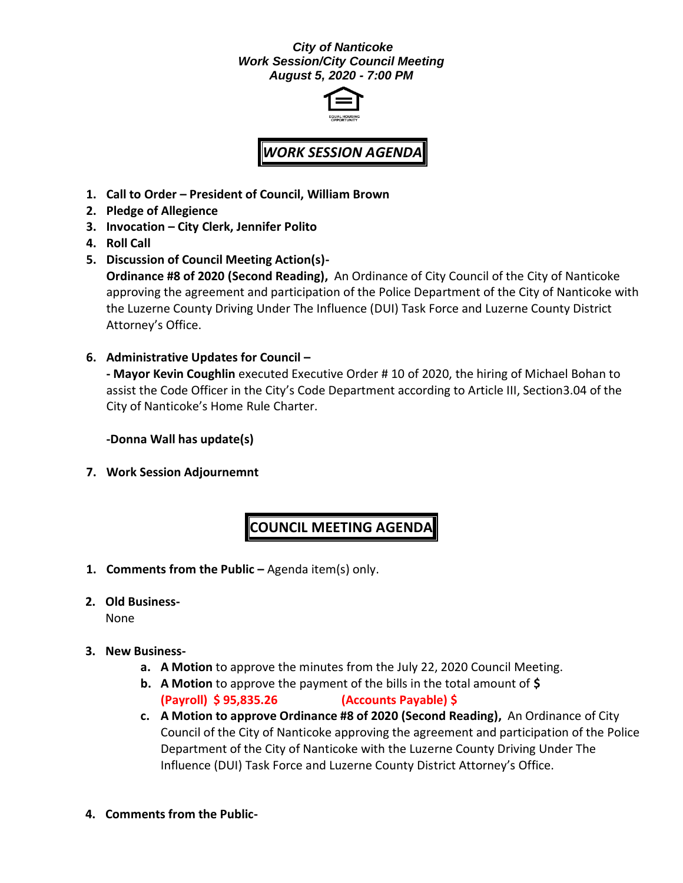### *City of Nanticoke Work Session/City Council Meeting August 5, 2020 - 7:00 PM*



# *WORK SESSION AGENDA*

- **1. Call to Order – President of Council, William Brown**
- **2. Pledge of Allegience**
- **3. Invocation – City Clerk, Jennifer Polito**
- **4. Roll Call**
- **5. Discussion of Council Meeting Action(s)- Ordinance #8 of 2020 (Second Reading),** An Ordinance of City Council of the City of Nanticoke approving the agreement and participation of the Police Department of the City of Nanticoke with the Luzerne County Driving Under The Influence (DUI) Task Force and Luzerne County District Attorney's Office.
- **6. Administrative Updates for Council – - Mayor Kevin Coughlin** executed Executive Order # 10 of 2020, the hiring of Michael Bohan to assist the Code Officer in the City's Code Department according to Article III, Section3.04 of the City of Nanticoke's Home Rule Charter.

**-Donna Wall has update(s)**

**7. Work Session Adjournemnt**

## **COUNCIL MEETING AGENDA**

- **1. Comments from the Public –** Agenda item(s) only.
- **2. Old Business-**

None

- **3. New Business**
	- **a. A Motion** to approve the minutes from the July 22, 2020 Council Meeting.
	- **b. A Motion** to approve the payment of the bills in the total amount of **\$ (Payroll) \$ 95,835.26 (Accounts Payable) \$**
	- **c. A Motion to approve Ordinance #8 of 2020 (Second Reading),** An Ordinance of City Council of the City of Nanticoke approving the agreement and participation of the Police Department of the City of Nanticoke with the Luzerne County Driving Under The Influence (DUI) Task Force and Luzerne County District Attorney's Office.
- **4. Comments from the Public-**